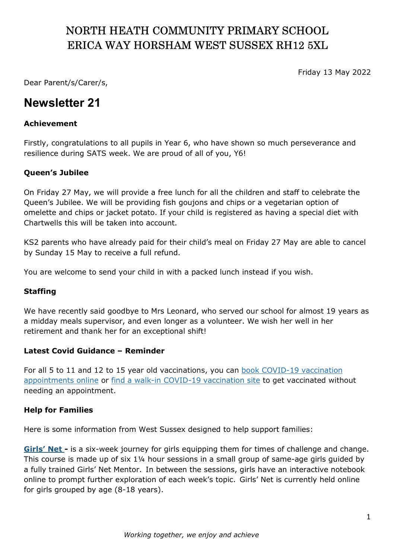# NORTH HEATH COMMUNITY PRIMARY SCHOOL ERICA WAY HORSHAM WEST SUSSEX RH12 5XL

Friday 13 May 2022

Dear Parent/s/Carer/s,

# Newsletter 21

### Achievement

Firstly, congratulations to all pupils in Year 6, who have shown so much perseverance and resilience during SATS week. We are proud of all of you, Y6!

### Queen's Jubilee

On Friday 27 May, we will provide a free lunch for all the children and staff to celebrate the Queen's Jubilee. We will be providing fish goujons and chips or a vegetarian option of omelette and chips or jacket potato. If your child is registered as having a special diet with Chartwells this will be taken into account.

KS2 parents who have already paid for their child's meal on Friday 27 May are able to cancel by Sunday 15 May to receive a full refund.

You are welcome to send your child in with a packed lunch instead if you wish.

#### Staffing

We have recently said goodbye to Mrs Leonard, who served our school for almost 19 years as a midday meals supervisor, and even longer as a volunteer. We wish her well in her retirement and thank her for an exceptional shift!

#### Latest Covid Guidance – Reminder

For all 5 to 11 and 12 to 15 year old vaccinations, you can book COVID-19 vaccination appointments online or find a walk-in COVID-19 vaccination site to get vaccinated without needing an appointment.

#### Help for Families

Here is some information from West Sussex designed to help support families:

Girls' Net - is a six-week journey for girls equipping them for times of challenge and change. This course is made up of six 1¼ hour sessions in a small group of same-age girls guided by a fully trained Girls' Net Mentor.  In between the sessions, girls have an interactive notebook online to prompt further exploration of each week's topic.  Girls' Net is currently held online for girls grouped by age (8-18 years).